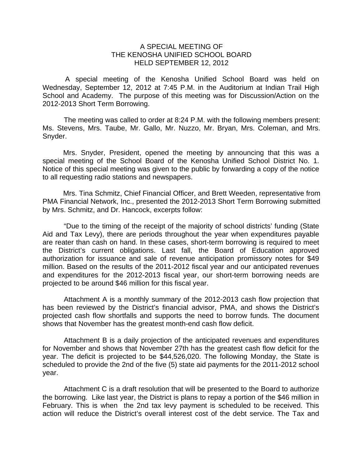## A SPECIAL MEETING OF THE KENOSHA UNIFIED SCHOOL BOARD HELD SEPTEMBER 12, 2012

 A special meeting of the Kenosha Unified School Board was held on Wednesday, September 12, 2012 at 7:45 P.M. in the Auditorium at Indian Trail High School and Academy. The purpose of this meeting was for Discussion/Action on the 2012-2013 Short Term Borrowing.

The meeting was called to order at 8:24 P.M. with the following members present: Ms. Stevens, Mrs. Taube, Mr. Gallo, Mr. Nuzzo, Mr. Bryan, Mrs. Coleman, and Mrs. Snyder.

Mrs. Snyder, President, opened the meeting by announcing that this was a special meeting of the School Board of the Kenosha Unified School District No. 1. Notice of this special meeting was given to the public by forwarding a copy of the notice to all requesting radio stations and newspapers.

Mrs. Tina Schmitz, Chief Financial Officer, and Brett Weeden, representative from PMA Financial Network, Inc., presented the 2012-2013 Short Term Borrowing submitted by Mrs. Schmitz, and Dr. Hancock, excerpts follow:

"Due to the timing of the receipt of the majority of school districts' funding (State Aid and Tax Levy), there are periods throughout the year when expenditures payable are reater than cash on hand. In these cases, short-term borrowing is required to meet the District's current obligations. Last fall, the Board of Education approved authorization for issuance and sale of revenue anticipation promissory notes for \$49 million. Based on the results of the 2011-2012 fiscal year and our anticipated revenues and expenditures for the 2012-2013 fiscal year, our short-term borrowing needs are projected to be around \$46 million for this fiscal year.

Attachment A is a monthly summary of the 2012-2013 cash flow projection that has been reviewed by the District's financial advisor, PMA, and shows the District's projected cash flow shortfalls and supports the need to borrow funds. The document shows that November has the greatest month-end cash flow deficit.

Attachment B is a daily projection of the anticipated revenues and expenditures for November and shows that November 27th has the greatest cash flow deficit for the year. The deficit is projected to be \$44,526,020. The following Monday, the State is scheduled to provide the 2nd of the five (5) state aid payments for the 2011-2012 school year.

Attachment C is a draft resolution that will be presented to the Board to authorize the borrowing. Like last year, the District is plans to repay a portion of the \$46 million in February. This is when the 2nd tax levy payment is scheduled to be received. This action will reduce the District's overall interest cost of the debt service. The Tax and